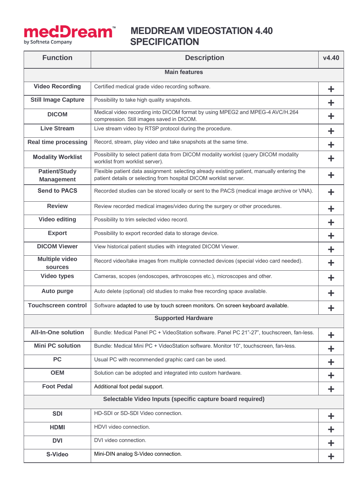

## **Mediscop Pream** MEDDREAM VIDEOSTATION 4.40  **SPECIFICATION**

| <b>Function</b>                                           | <b>Description</b>                                                                                                                                               | V4.40 |  |  |
|-----------------------------------------------------------|------------------------------------------------------------------------------------------------------------------------------------------------------------------|-------|--|--|
| <b>Main features</b>                                      |                                                                                                                                                                  |       |  |  |
| <b>Video Recording</b>                                    | Certified medical grade video recording software.                                                                                                                | ╋     |  |  |
| <b>Still Image Capture</b>                                | Possibility to take high quality snapshots.                                                                                                                      |       |  |  |
| <b>DICOM</b>                                              | Medical video recording into DICOM format by using MPEG2 and MPEG-4 AVC/H.264<br>compression. Still images saved in DICOM.                                       | ÷     |  |  |
| <b>Live Stream</b>                                        | Live stream video by RTSP protocol during the procedure.                                                                                                         | ÷     |  |  |
| <b>Real time processing</b>                               | Record, stream, play video and take snapshots at the same time.                                                                                                  | ╋     |  |  |
| <b>Modality Worklist</b>                                  | Possibility to select patient data from DICOM modality worklist (query DICOM modality<br>worklist from worklist server).                                         | ÷     |  |  |
| <b>Patient/Study</b><br><b>Management</b>                 | Flexible patient data assignment: selecting already existing patient, manually entering the<br>patient details or selecting from hospital DICOM worklist server. | ╋     |  |  |
| <b>Send to PACS</b>                                       | Recorded studies can be stored locally or sent to the PACS (medical image archive or VNA).                                                                       | ╋     |  |  |
| <b>Review</b>                                             | Review recorded medical images/video during the surgery or other procedures.                                                                                     |       |  |  |
| <b>Video editing</b>                                      | Possibility to trim selected video record.                                                                                                                       | ÷     |  |  |
| <b>Export</b>                                             | Possibility to export recorded data to storage device.                                                                                                           | ╋     |  |  |
| <b>DICOM Viewer</b>                                       | View historical patient studies with integrated DICOM Viewer.                                                                                                    | ÷     |  |  |
| <b>Multiple video</b><br><b>sources</b>                   | Record video/take images from multiple connected devices (special video card needed).                                                                            |       |  |  |
| <b>Video types</b>                                        | Cameras, scopes (endoscopes, arthroscopes etc.), microscopes and other.                                                                                          |       |  |  |
| <b>Auto purge</b>                                         | Auto delete (optional) old studies to make free recording space available.                                                                                       |       |  |  |
| <b>Touchscreen control</b>                                | Software adapted to use by touch screen monitors. On screen keyboard available.                                                                                  |       |  |  |
|                                                           | <b>Supported Hardware</b>                                                                                                                                        |       |  |  |
| <b>All-In-One solution</b>                                | Bundle: Medical Panel PC + VideoStation software. Panel PC 21"-27", touchscreen, fan-less.                                                                       | ÷     |  |  |
| <b>Mini PC solution</b>                                   | Bundle: Medical Mini PC + VideoStation software. Monitor 10", touchscreen, fan-less.                                                                             | ÷     |  |  |
| <b>PC</b>                                                 | Usual PC with recommended graphic card can be used.                                                                                                              | ÷     |  |  |
| <b>OEM</b>                                                | Solution can be adopted and integrated into custom hardware.                                                                                                     | ÷     |  |  |
| <b>Foot Pedal</b>                                         | Additional foot pedal support.                                                                                                                                   | ╈     |  |  |
| Selectable Video Inputs (specific capture board required) |                                                                                                                                                                  |       |  |  |
| <b>SDI</b>                                                | HD-SDI or SD-SDI Video connection.                                                                                                                               | ╋     |  |  |
| <b>HDMI</b>                                               | HDVI video connection.                                                                                                                                           | ÷     |  |  |
| <b>DVI</b>                                                | DVI video connection.                                                                                                                                            | ╋     |  |  |
| S-Video                                                   | Mini-DIN analog S-Video connection.                                                                                                                              | ÷.    |  |  |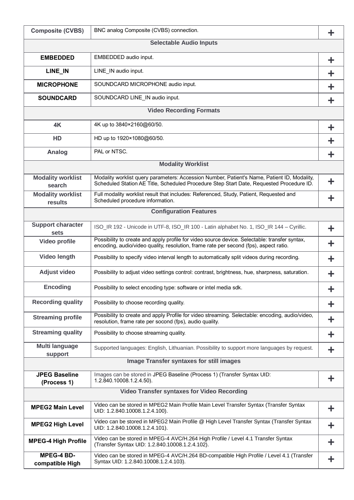| <b>Composite (CVBS)</b>                         | BNC analog Composite (CVBS) connection.                                                                                                                                                 | ÷  |  |  |
|-------------------------------------------------|-----------------------------------------------------------------------------------------------------------------------------------------------------------------------------------------|----|--|--|
| <b>Selectable Audio Inputs</b>                  |                                                                                                                                                                                         |    |  |  |
| <b>EMBEDDED</b>                                 | EMBEDDED audio input.                                                                                                                                                                   | ÷. |  |  |
| LINE_IN                                         | LINE_IN audio input.                                                                                                                                                                    | ╋  |  |  |
| <b>MICROPHONE</b>                               | SOUNDCARD MICROPHONE audio input.                                                                                                                                                       | ╋  |  |  |
| <b>SOUNDCARD</b>                                | SOUNDCARD LINE_IN audio input.                                                                                                                                                          | ÷  |  |  |
| <b>Video Recording Formats</b>                  |                                                                                                                                                                                         |    |  |  |
| 4K                                              | 4K up to 3840×2160@60/50.                                                                                                                                                               | ╈  |  |  |
| HD                                              | HD up to 1920×1080@60/50.                                                                                                                                                               | ╋  |  |  |
| Analog                                          | PAL or NTSC.                                                                                                                                                                            | ╋  |  |  |
|                                                 | <b>Modality Worklist</b>                                                                                                                                                                |    |  |  |
| <b>Modality worklist</b><br>search              | Modality worklist query parameters: Accession Number, Patient's Name, Patient ID, Modality,<br>Scheduled Station AE Title, Scheduled Procedure Step Start Date, Requested Procedure ID. | ╋  |  |  |
| <b>Modality worklist</b><br>results             | Full modality worklist result that includes: Referenced, Study, Patient, Requested and<br>Scheduled procedure information.                                                              | ╋  |  |  |
| <b>Configuration Features</b>                   |                                                                                                                                                                                         |    |  |  |
| <b>Support character</b><br>sets                | ISO_IR 192 - Unicode in UTF-8, ISO_IR 100 - Latin alphabet No. 1, ISO_IR 144 - Cyrillic.                                                                                                | ╋  |  |  |
| Video profile                                   | Possibility to create and apply profile for video source device. Selectable: transfer syntax,<br>encoding, audio/video quality, resolution, frame rate per second (fps), aspect ratio.  | ╈  |  |  |
| Video length                                    | Possibility to specify video interval length to automatically split videos during recording.                                                                                            | ╋  |  |  |
| <b>Adjust video</b>                             | Possibility to adjust video settings control: contrast, brightness, hue, sharpness, saturation.                                                                                         | ╋  |  |  |
| <b>Encoding</b>                                 | Possibility to select encoding type: software or intel media sdk.                                                                                                                       | т  |  |  |
| <b>Recording quality</b>                        | Possibility to choose recording quality.                                                                                                                                                | ÷  |  |  |
| <b>Streaming profile</b>                        | Possibility to create and apply Profile for video streaming. Selectable: encoding, audio/video,<br>resolution, frame rate per socond (fps), audio quality.                              | ╋  |  |  |
| <b>Streaming quality</b>                        | Possibility to choose streaming quality.                                                                                                                                                | ╋  |  |  |
| <b>Multi language</b><br>support                | Supported languages: English, Lithuanian. Possibility to support more languages by request.                                                                                             | ÷  |  |  |
| <b>Image Transfer syntaxes for still images</b> |                                                                                                                                                                                         |    |  |  |
| <b>JPEG Baseline</b><br>(Process 1)             | Images can be stored in JPEG Baseline (Process 1) (Transfer Syntax UID:<br>1.2.840.10008.1.2.4.50).                                                                                     | ÷  |  |  |
|                                                 | <b>Video Transfer syntaxes for Video Recording</b>                                                                                                                                      |    |  |  |
| <b>MPEG2 Main Level</b>                         | Video can be stored in MPEG2 Main Profile Main Level Transfer Syntax (Transfer Syntax<br>UID: 1.2.840.10008.1.2.4.100).                                                                 | ╈  |  |  |
| <b>MPEG2 High Level</b>                         | Video can be stored in MPEG2 Main Profile @ High Level Transfer Syntax (Transfer Syntax<br>UID: 1.2.840.10008.1.2.4.101).                                                               | ÷  |  |  |
| <b>MPEG-4 High Profile</b>                      | Video can be stored in MPEG-4 AVC/H.264 High Profile / Level 4.1 Transfer Syntax<br>(Transfer Syntax UID: 1.2.840.10008.1.2.4.102).                                                     | ÷  |  |  |
| <b>MPEG-4 BD-</b><br>compatible High            | Video can be stored in MPEG-4 AVC/H.264 BD-compatible High Profile / Level 4.1 (Transfer<br>Syntax UID: 1.2.840.10008.1.2.4.103).                                                       |    |  |  |

**Profile**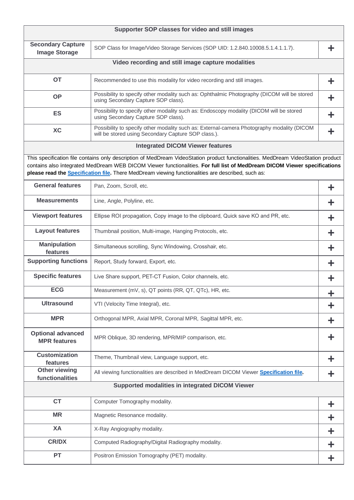|                                                                                                                                                                                                                                                                                                                                                                              | Supporter SOP classes for video and still images                                                                                                  |   |  |  |
|------------------------------------------------------------------------------------------------------------------------------------------------------------------------------------------------------------------------------------------------------------------------------------------------------------------------------------------------------------------------------|---------------------------------------------------------------------------------------------------------------------------------------------------|---|--|--|
| <b>Secondary Capture</b><br><b>Image Storage</b>                                                                                                                                                                                                                                                                                                                             | SOP Class for Image/Video Storage Services (SOP UID: 1.2.840.10008.5.1.4.1.1.7).                                                                  |   |  |  |
| Video recording and still image capture modalities                                                                                                                                                                                                                                                                                                                           |                                                                                                                                                   |   |  |  |
| <b>OT</b>                                                                                                                                                                                                                                                                                                                                                                    | Recommended to use this modality for video recording and still images.                                                                            |   |  |  |
| <b>OP</b>                                                                                                                                                                                                                                                                                                                                                                    | Possibility to specify other modality such as: Ophthalmic Photography (DICOM will be stored<br>using Secondary Capture SOP class).                |   |  |  |
| <b>ES</b>                                                                                                                                                                                                                                                                                                                                                                    | Possibility to specify other modality such as: Endoscopy modality (DICOM will be stored<br>using Secondary Capture SOP class).                    | ╋ |  |  |
| <b>XC</b>                                                                                                                                                                                                                                                                                                                                                                    | Possibility to specify other modality such as: External-camera Photography modality (DICOM<br>will be stored using Secondary Capture SOP class.). |   |  |  |
|                                                                                                                                                                                                                                                                                                                                                                              | <b>Integrated DICOM Viewer features</b>                                                                                                           |   |  |  |
| This specification file contains only description of MedDream VideoStation product functionalities. MedDream VideoStation product<br>contains also integrated MedDream WEB DICOM Viewer functionalities. For full list of MedDream DICOM Viewer specifications<br>please read the <b>Specification file</b> . There MedDream viewing functionalities are described, such as: |                                                                                                                                                   |   |  |  |
| <b>General features</b>                                                                                                                                                                                                                                                                                                                                                      | Pan, Zoom, Scroll, etc.                                                                                                                           | ╋ |  |  |
| <b>Measurements</b>                                                                                                                                                                                                                                                                                                                                                          | Line, Angle, Polyline, etc.                                                                                                                       |   |  |  |
| <b>Viewport features</b>                                                                                                                                                                                                                                                                                                                                                     | Ellipse ROI propagation, Copy image to the clipboard, Quick save KO and PR, etc.                                                                  |   |  |  |
| <b>Layout features</b>                                                                                                                                                                                                                                                                                                                                                       | Thumbnail position, Multi-image, Hanging Protocols, etc.                                                                                          |   |  |  |
| <b>Manipulation</b><br>features                                                                                                                                                                                                                                                                                                                                              | Simultaneous scrolling, Sync Windowing, Crosshair, etc.                                                                                           |   |  |  |
| <b>Supporting functions</b>                                                                                                                                                                                                                                                                                                                                                  | Report, Study forward, Export, etc.                                                                                                               |   |  |  |
| <b>Specific features</b>                                                                                                                                                                                                                                                                                                                                                     | Live Share support, PET-CT Fusion, Color channels, etc.                                                                                           |   |  |  |
| <b>ECG</b>                                                                                                                                                                                                                                                                                                                                                                   | Measurement (mV, s), QT points (RR, QT, QTc), HR, etc.                                                                                            |   |  |  |
| <b>Ultrasound</b>                                                                                                                                                                                                                                                                                                                                                            | VTI (Velocity Time Integral), etc.                                                                                                                |   |  |  |
| <b>MPR</b>                                                                                                                                                                                                                                                                                                                                                                   | Orthogonal MPR, Axial MPR, Coronal MPR, Sagittal MPR, etc.                                                                                        |   |  |  |
| <b>Optional advanced</b><br><b>MPR features</b>                                                                                                                                                                                                                                                                                                                              | MPR Oblique, 3D rendering, MPR/MIP comparison, etc.                                                                                               |   |  |  |
| <b>Customization</b><br>features                                                                                                                                                                                                                                                                                                                                             | Theme, Thumbnail view, Language support, etc.                                                                                                     |   |  |  |
| <b>Other viewing</b><br>functionalities                                                                                                                                                                                                                                                                                                                                      | All viewing functionalities are described in MedDream DICOM Viewer Specification file                                                             |   |  |  |
| Supported modalities in integrated DICOM Viewer                                                                                                                                                                                                                                                                                                                              |                                                                                                                                                   |   |  |  |
| <b>CT</b>                                                                                                                                                                                                                                                                                                                                                                    | Computer Tomography modality.                                                                                                                     | ╈ |  |  |
| <b>MR</b>                                                                                                                                                                                                                                                                                                                                                                    | Magnetic Resonance modality.                                                                                                                      | ╋ |  |  |
| XA                                                                                                                                                                                                                                                                                                                                                                           | X-Ray Angiography modality.                                                                                                                       | ╈ |  |  |
| <b>CR/DX</b>                                                                                                                                                                                                                                                                                                                                                                 | Computed Radiography/Digital Radiography modality.                                                                                                |   |  |  |
| <b>PT</b>                                                                                                                                                                                                                                                                                                                                                                    | Positron Emission Tomography (PET) modality.                                                                                                      |   |  |  |